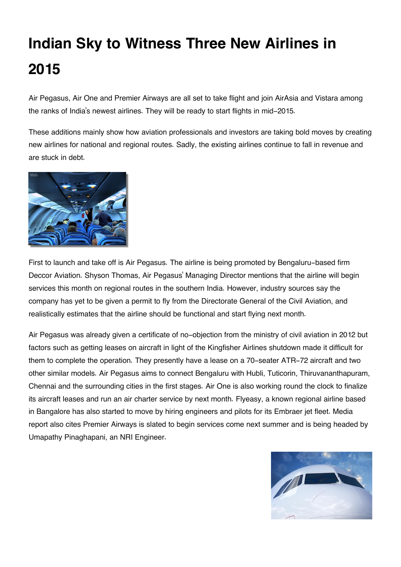## **Indian Sky to Witness Three New Airlines in 2015**

Air Pegasus, Air One and Premier Airways are all set to take flight and join AirAsia and Vistara among the ranks of India's newest airlines. They will be ready to start flights in mid-2015.

These additions mainly show how aviation professionals and investors are taking bold moves by creating new airlines for national and regional routes. Sadly, the existing airlines continue to fall in revenue and are stuck in debt.



First to launch and take off is Air Pegasus. The airline is being promoted by Bengaluru-based firm Deccor Aviation. Shyson Thomas, Air Pegasus' Managing Director mentions that the airline will begin services this month on regional routes in the southern India. However, industry sources say the company has yet to be given a permit to fly from the Directorate General of the Civil Aviation, and realistically estimates that the airline should be functional and start flying next month.

Air Pegasus was already given a certificate of no-objection from the ministry of civil aviation in 2012 but factors such as getting leases on aircraft in light of the Kingfisher Airlines shutdown made it difficult for them to complete the operation. They presently have a lease on a 70-seater ATR-72 aircraft and two other similar models. Air Pegasus aims to connect Bengaluru with Hubli, Tuticorin, Thiruvananthapuram, Chennai and the surrounding cities in the first stages. Air One is also working round the clock to finalize its aircraft leases and run an air charter service by next month. Flyeasy, a known regional airline based in Bangalore has also started to move by hiring engineers and pilots for its Embraer jet fleet. Media report also cites Premier Airways is slated to begin services come next summer and is being headed by Umapathy Pinaghapani, an NRI Engineer.

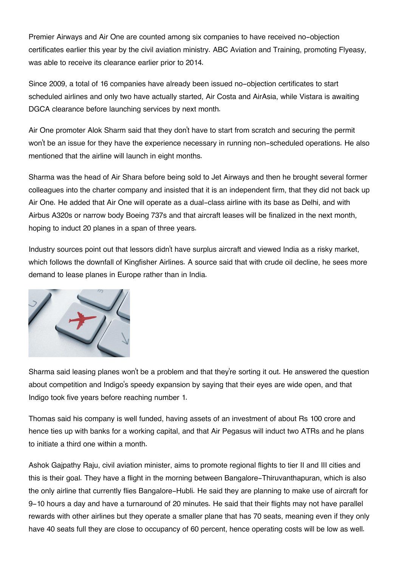Premier Airways and Air One are counted among six companies to have received no-objection certificates earlier this year by the civil aviation ministry. ABC Aviation and Training, promoting Flyeasy, was able to receive its clearance earlier prior to 2014.

Since 2009, a total of 16 companies have already been issued no-objection certificates to start scheduled airlines and only two have actually started, Air Costa and AirAsia, while Vistara is awaiting DGCA clearance before launching services by next month.

Air One promoter Alok Sharm said that they don't have to start from scratch and securing the permit won't be an issue for they have the experience necessary in running non-scheduled operations. He also mentioned that the airline will launch in eight months.

Sharma was the head of Air Shara before being sold to Jet Airways and then he brought several former colleagues into the charter company and insisted that it is an independent firm, that they did not back up Air One. He added that Air One will operate as a dual-class airline with its base as Delhi, and with Airbus A320s or narrow body Boeing 737s and that aircraft leases will be finalized in the next month, hoping to induct 20 planes in a span of three years.

Industry sources point out that lessors didn't have surplus aircraft and viewed India as a risky market, which follows the downfall of Kingfisher Airlines. A source said that with crude oil decline, he sees more demand to lease planes in Europe rather than in India.



Sharma said leasing planes won't be a problem and that they're sorting it out. He answered the question about competition and Indigo's speedy expansion by saying that their eyes are wide open, and that Indigo took five years before reaching number 1.

Thomas said his company is well funded, having assets of an investment of about Rs 100 crore and hence ties up with banks for a working capital, and that Air Pegasus will induct two ATRs and he plans to initiate a third one within a month.

Ashok Gajpathy Raju, civil aviation minister, aims to promote regional flights to tier II and III cities and this is their goal. They have a flight in the morning between Bangalore-Thiruvanthapuran, which is also the only airline that currently flies Bangalore-Hubli. He said they are planning to make use of aircraft for 9-10 hours a day and have a turnaround of 20 minutes. He said that their flights may not have parallel rewards with other airlines but they operate a smaller plane that has 70 seats, meaning even if they only have 40 seats full they are close to occupancy of 60 percent, hence operating costs will be low as well.